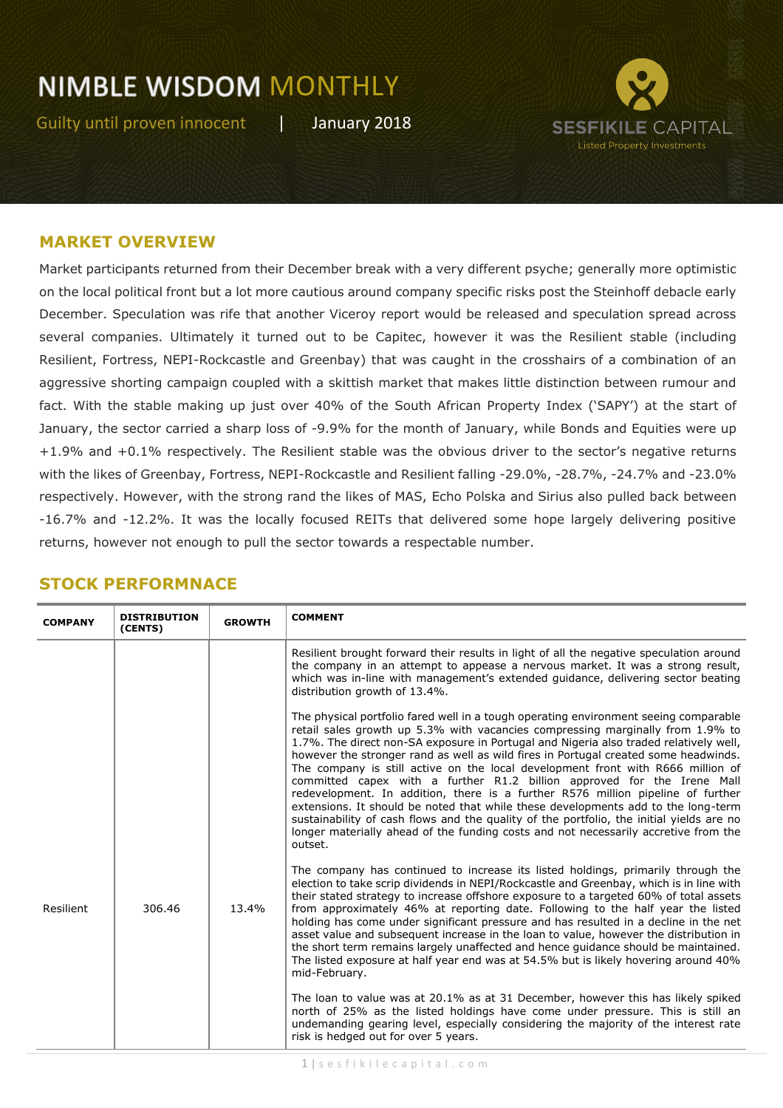Guilty until proven innocent | January 2018



#### **MARKET OVERVIEW**

Market participants returned from their December break with a very different psyche; generally more optimistic on the local political front but a lot more cautious around company specific risks post the Steinhoff debacle early December. Speculation was rife that another Viceroy report would be released and speculation spread across several companies. Ultimately it turned out to be Capitec, however it was the Resilient stable (including Resilient, Fortress, NEPI-Rockcastle and Greenbay) that was caught in the crosshairs of a combination of an aggressive shorting campaign coupled with a skittish market that makes little distinction between rumour and fact. With the stable making up just over 40% of the South African Property Index ('SAPY') at the start of January, the sector carried a sharp loss of -9.9% for the month of January, while Bonds and Equities were up +1.9% and +0.1% respectively. The Resilient stable was the obvious driver to the sector's negative returns with the likes of Greenbay, Fortress, NEPI-Rockcastle and Resilient falling -29.0%, -28.7%, -24.7% and -23.0% respectively. However, with the strong rand the likes of MAS, Echo Polska and Sirius also pulled back between -16.7% and -12.2%. It was the locally focused REITs that delivered some hope largely delivering positive returns, however not enough to pull the sector towards a respectable number.

| <b>COMPANY</b> | <b>DISTRIBUTION</b><br>(CENTS) | <b>GROWTH</b> | <b>COMMENT</b>                                                                                                                                                                                                                                                                                                                                                                                                                                                                                                                                                                                                                                                                                                                                                                                                                                                                             |
|----------------|--------------------------------|---------------|--------------------------------------------------------------------------------------------------------------------------------------------------------------------------------------------------------------------------------------------------------------------------------------------------------------------------------------------------------------------------------------------------------------------------------------------------------------------------------------------------------------------------------------------------------------------------------------------------------------------------------------------------------------------------------------------------------------------------------------------------------------------------------------------------------------------------------------------------------------------------------------------|
|                |                                |               | Resilient brought forward their results in light of all the negative speculation around<br>the company in an attempt to appease a nervous market. It was a strong result,<br>which was in-line with management's extended guidance, delivering sector beating<br>distribution growth of 13.4%.                                                                                                                                                                                                                                                                                                                                                                                                                                                                                                                                                                                             |
|                |                                |               | The physical portfolio fared well in a tough operating environment seeing comparable<br>retail sales growth up 5.3% with vacancies compressing marginally from 1.9% to<br>1.7%. The direct non-SA exposure in Portugal and Nigeria also traded relatively well,<br>however the stronger rand as well as wild fires in Portugal created some headwinds.<br>The company is still active on the local development front with R666 million of<br>committed capex with a further R1.2 billion approved for the Irene Mall<br>redevelopment. In addition, there is a further R576 million pipeline of further<br>extensions. It should be noted that while these developments add to the long-term<br>sustainability of cash flows and the quality of the portfolio, the initial yields are no<br>longer materially ahead of the funding costs and not necessarily accretive from the<br>outset. |
| Resilient      | 306.46                         | 13.4%         | The company has continued to increase its listed holdings, primarily through the<br>election to take scrip dividends in NEPI/Rockcastle and Greenbay, which is in line with<br>their stated strategy to increase offshore exposure to a targeted 60% of total assets<br>from approximately 46% at reporting date. Following to the half year the listed<br>holding has come under significant pressure and has resulted in a decline in the net<br>asset value and subsequent increase in the loan to value, however the distribution in<br>the short term remains largely unaffected and hence guidance should be maintained.<br>The listed exposure at half year end was at 54.5% but is likely hovering around 40%<br>mid-February.                                                                                                                                                     |
|                |                                |               | The loan to value was at 20.1% as at 31 December, however this has likely spiked<br>north of 25% as the listed holdings have come under pressure. This is still an<br>undemanding gearing level, especially considering the majority of the interest rate<br>risk is hedged out for over 5 years.                                                                                                                                                                                                                                                                                                                                                                                                                                                                                                                                                                                          |

#### **STOCK PERFORMNACE**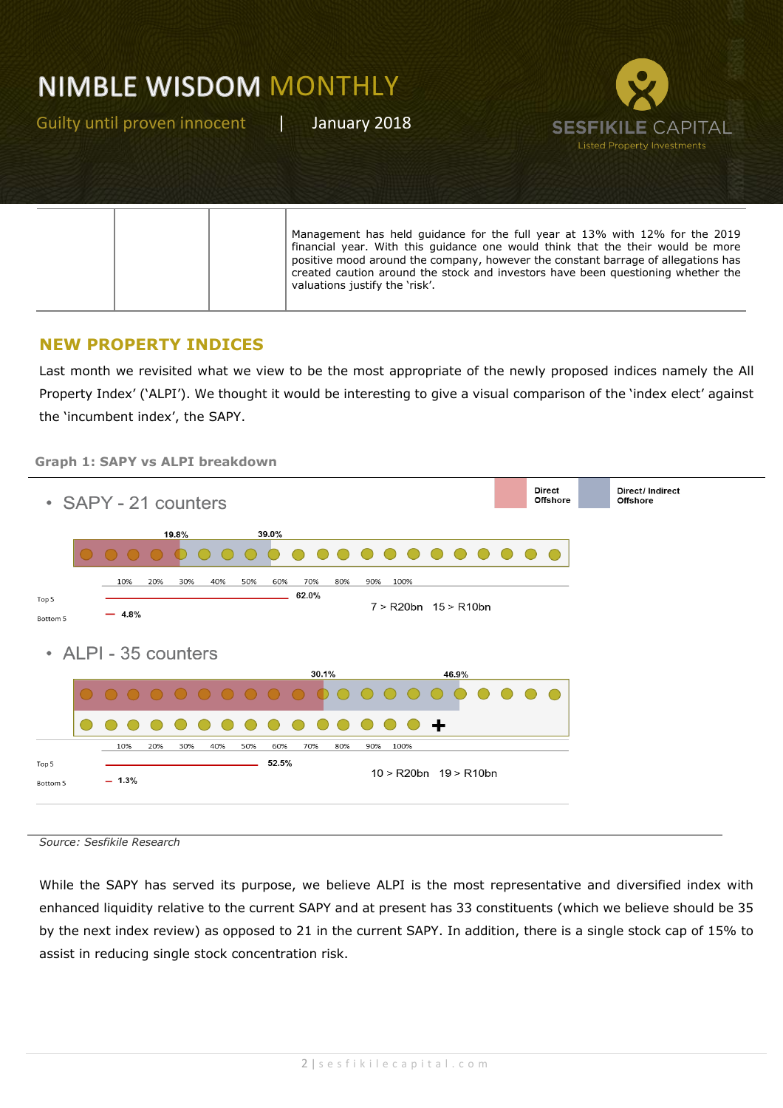Guilty until proven innocent | January 2018



#### **NEW PROPERTY INDICES**

Last month we revisited what we view to be the most appropriate of the newly proposed indices namely the All Property Index' ('ALPI'). We thought it would be interesting to give a visual comparison of the 'index elect' against the 'incumbent index', the SAPY.

**Graph 1: SAPY vs ALPI breakdown**



*Source: Sesfikile Research*

While the SAPY has served its purpose, we believe ALPI is the most representative and diversified index with enhanced liquidity relative to the current SAPY and at present has 33 constituents (which we believe should be 35 by the next index review) as opposed to 21 in the current SAPY. In addition, there is a single stock cap of 15% to assist in reducing single stock concentration risk.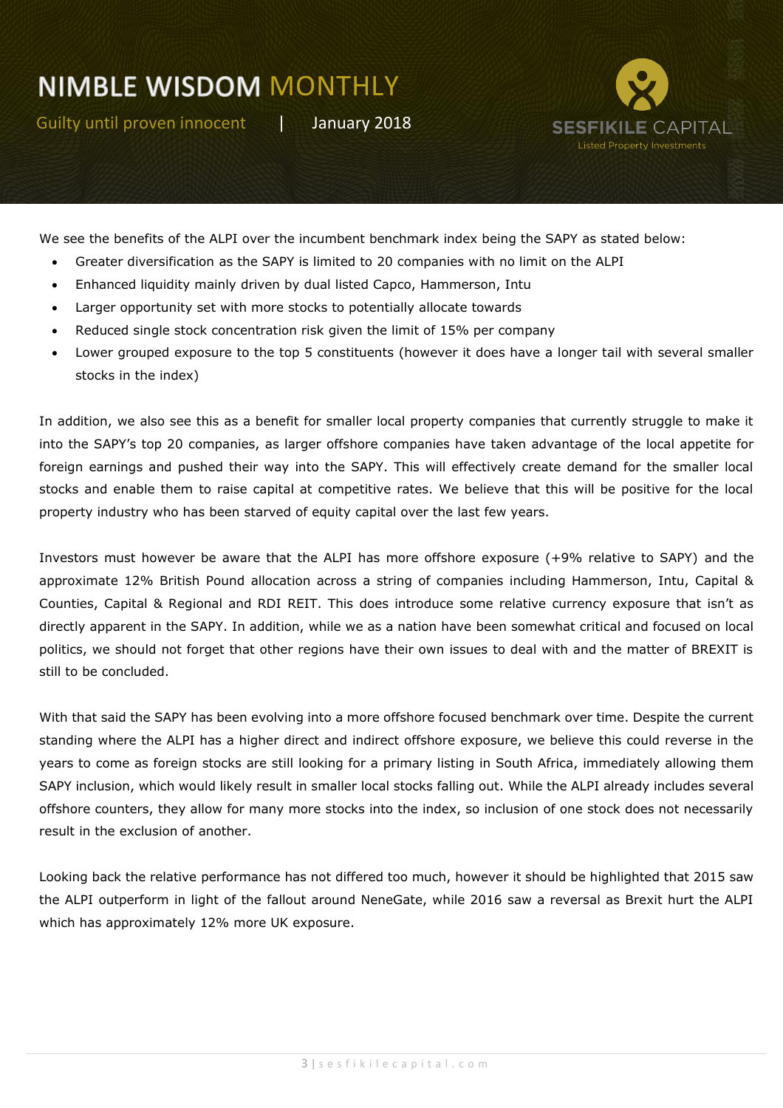Guilty until proven innocent | January 2018



We see the benefits of the ALPI over the incumbent benchmark index being the SAPY as stated below:

- Greater diversification as the SAPY is limited to 20 companies with no limit on the ALPI
- Enhanced liquidity mainly driven by dual listed Capco, Hammerson, Intu
- Larger opportunity set with more stocks to potentially allocate towards
- Reduced single stock concentration risk given the limit of 15% per company
- Lower grouped exposure to the top 5 constituents (however it does have a longer tail with several smaller stocks in the index)

In addition, we also see this as a benefit for smaller local property companies that currently struggle to make it into the SAPY's top 20 companies, as larger offshore companies have taken advantage of the local appetite for foreign earnings and pushed their way into the SAPY. This will effectively create demand for the smaller local stocks and enable them to raise capital at competitive rates. We believe that this will be positive for the local property industry who has been starved of equity capital over the last few years.

Investors must however be aware that the ALPI has more offshore exposure (+9% relative to SAPY) and the approximate 12% British Pound allocation across a string of companies including Hammerson, Intu, Capital & Counties, Capital & Regional and RDI REIT. This does introduce some relative currency exposure that isn't as directly apparent in the SAPY. In addition, while we as a nation have been somewhat critical and focused on local politics, we should not forget that other regions have their own issues to deal with and the matter of BREXIT is still to be concluded.

With that said the SAPY has been evolving into a more offshore focused benchmark over time. Despite the current standing where the ALPI has a higher direct and indirect offshore exposure, we believe this could reverse in the years to come as foreign stocks are still looking for a primary listing in South Africa, immediately allowing them SAPY inclusion, which would likely result in smaller local stocks falling out. While the ALPI already includes several offshore counters, they allow for many more stocks into the index, so inclusion of one stock does not necessarily result in the exclusion of another.

Looking back the relative performance has not differed too much, however it should be highlighted that 2015 saw the ALPI outperform in light of the fallout around NeneGate, while 2016 saw a reversal as Brexit hurt the ALPI which has approximately 12% more UK exposure.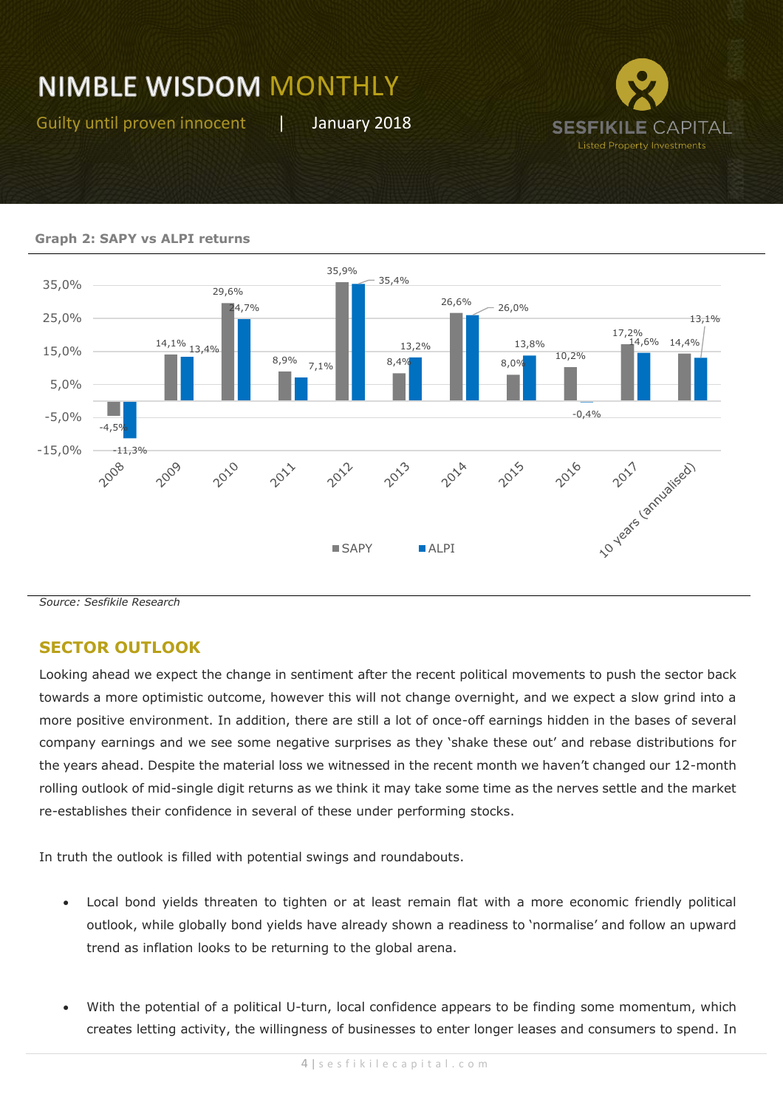Guilty until proven innocent | January 2018







*Source: Sesfikile Research*

### **SECTOR OUTLOOK**

Looking ahead we expect the change in sentiment after the recent political movements to push the sector back towards a more optimistic outcome, however this will not change overnight, and we expect a slow grind into a more positive environment. In addition, there are still a lot of once-off earnings hidden in the bases of several company earnings and we see some negative surprises as they 'shake these out' and rebase distributions for the years ahead. Despite the material loss we witnessed in the recent month we haven't changed our 12-month rolling outlook of mid-single digit returns as we think it may take some time as the nerves settle and the market re-establishes their confidence in several of these under performing stocks.

In truth the outlook is filled with potential swings and roundabouts.

- Local bond yields threaten to tighten or at least remain flat with a more economic friendly political outlook, while globally bond yields have already shown a readiness to 'normalise' and follow an upward trend as inflation looks to be returning to the global arena.
- With the potential of a political U-turn, local confidence appears to be finding some momentum, which creates letting activity, the willingness of businesses to enter longer leases and consumers to spend. In